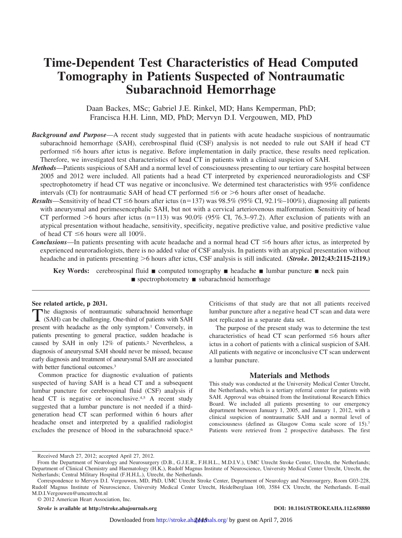# **Time-Dependent Test Characteristics of Head Computed Tomography in Patients Suspected of Nontraumatic Subarachnoid Hemorrhage**

Daan Backes, MSc; Gabriel J.E. Rinkel, MD; Hans Kemperman, PhD; Francisca H.H. Linn, MD, PhD; Mervyn D.I. Vergouwen, MD, PhD

- *Background and Purpose*—A recent study suggested that in patients with acute headache suspicious of nontraumatic subarachnoid hemorrhage (SAH), cerebrospinal fluid (CSF) analysis is not needed to rule out SAH if head CT performed  $\leq 6$  hours after ictus is negative. Before implementation in daily practice, these results need replication. Therefore, we investigated test characteristics of head CT in patients with a clinical suspicion of SAH.
- *Methods*—Patients suspicious of SAH and a normal level of consciousness presenting to our tertiary care hospital between 2005 and 2012 were included. All patients had a head CT interpreted by experienced neuroradiologists and CSF spectrophotometry if head CT was negative or inconclusive. We determined test characteristics with 95% confidence intervals (CI) for nontraumatic SAH of head CT performed  $\leq 6$  or  $> 6$  hours after onset of headache.
- **Results**—Sensitivity of head CT  $\leq$ 6 hours after ictus (n=137) was 98.5% (95% CI, 92.1%–100%), diagnosing all patients with aneurysmal and perimesencephalic SAH, but not with a cervical arteriovenous malformation. Sensitivity of head CT performed  $>6$  hours after ictus (n=113) was  $90.0\%$  (95% CI, 76.3–97.2). After exclusion of patients with an atypical presentation without headache, sensitivity, specificity, negative predictive value, and positive predictive value of head CT  $\leq$ 6 hours were all 100%.
- *Conclusions*—In patients presenting with acute headache and a normal head  $CT \leq 6$  hours after ictus, as interpreted by experienced neuroradiologists, there is no added value of CSF analysis. In patients with an atypical presentation without headache and in patients presenting  $>$ 6 hours after ictus, CSF analysis is still indicated. (*Stroke***.** 2012;43:2115-2119.)

**Key Words:** cerebrospinal fluid  $\blacksquare$  computed tomography  $\blacksquare$  headache  $\blacksquare$  lumbar puncture  $\blacksquare$  neck pain  $\blacksquare$  spectrophotometry  $\blacksquare$  subarachnoid hemorrhage

## **See related article, p 2031.**

The diagnosis of nontraumatic subarachnoid hemorrhage (SAH) can be challenging. One-third of patients with SAH present with headache as the only symptom.<sup>1</sup> Conversely, in patients presenting to general practice, sudden headache is caused by SAH in only 12% of patients.2 Nevertheless, a diagnosis of aneurysmal SAH should never be missed, because early diagnosis and treatment of aneurysmal SAH are associated with better functional outcomes.<sup>3</sup>

Common practice for diagnostic evaluation of patients suspected of having SAH is a head CT and a subsequent lumbar puncture for cerebrospinal fluid (CSF) analysis if head CT is negative or inconclusive.<sup>4,5</sup> A recent study suggested that a lumbar puncture is not needed if a thirdgeneration head CT scan performed within 6 hours after headache onset and interpreted by a qualified radiologist excludes the presence of blood in the subarachnoid space.<sup>6</sup>

Criticisms of that study are that not all patients received lumbar puncture after a negative head CT scan and data were not replicated in a separate data set.

The purpose of the present study was to determine the test characteristics of head CT scan performed  $\leq 6$  hours after ictus in a cohort of patients with a clinical suspicion of SAH. All patients with negative or inconclusive CT scan underwent a lumbar puncture.

# **Materials and Methods**

This study was conducted at the University Medical Center Utrecht, the Netherlands, which is a tertiary referral center for patients with SAH. Approval was obtained from the Institutional Research Ethics Board. We included all patients presenting to our emergency department between January 1, 2005, and January 1, 2012, with a clinical suspicion of nontraumatic SAH and a normal level of consciousness (defined as Glasgow Coma scale score of 15).7 Patients were retrieved from 2 prospective databases. The first

*Stroke* **is available at http://stroke.ahajournals.org DOI: 10.1161/STROKEAHA.112.658880**

Received March 27, 2012; accepted April 27, 2012.

From the Department of Neurology and Neurosurgery (D.B., G.J.E.R., F.H.H.L., M.D.I.V.), UMC Utrecht Stroke Center, Utrecht, the Netherlands; Department of Clinical Chemistry and Haematology (H.K.), Rudolf Magnus Institute of Neuroscience, University Medical Center Utrecht, Utrecht, the Netherlands; Central Military Hospital (F.H.H.L.), Utrecht, the Netherlands.

Correspondence to Mervyn D.I. Vergouwen, MD, PhD, UMC Utrecht Stroke Center, Department of Neurology and Neurosurgery, Room G03-228, Rudolf Magnus Institute of Neuroscience, University Medical Center Utrecht, Heidelberglaan 100, 3584 CX Utrecht, the Netherlands. E-mail M.D.I.Vergouwen@umcutrecht.nl

<sup>© 2012</sup> American Heart Association, Inc.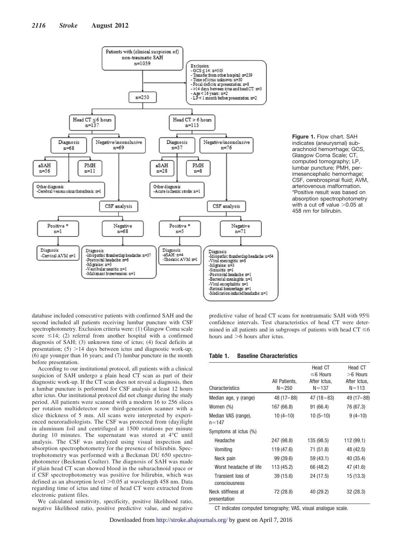

**Figure 1.** Flow chart. SAH indicates (aneurysmal) subarachnoid hemorrhage; GCS, Glasgow Coma Scale; CT, computed tomography; LP, lumbar puncture; PMH, perimesencephalic hemorrhage; CSF, cerebrospinal fluid; AVM, arteriovenous malformation. \*Positive result was based on absorption spectrophotometry with a cut off value  $>0.05$  at 458 nm for bilirubin.

database included consecutive patients with confirmed SAH and the second included all patients receiving lumbar puncture with CSF spectrophotometry. Exclusion criteria were: (1) Glasgow Coma scale score  $\leq$ 14; (2) referral from another hospital with a confirmed diagnosis of SAH; (3) unknown time of ictus; (4) focal deficits at presentation;  $(5)$  >14 days between ictus and diagnostic work-up; (6) age younger than 16 years; and (7) lumbar puncture in the month before presentation.

According to our institutional protocol, all patients with a clinical suspicion of SAH undergo a plain head CT scan as part of their diagnostic work-up. If the CT scan does not reveal a diagnosis, then a lumbar puncture is performed for CSF analysis at least 12 hours after ictus. Our institutional protocol did not change during the study period. All patients were scanned with a modern 16 to 256 slices per rotation multidetector row third-generation scanner with a slice thickness of 5 mm. All scans were interpreted by experienced neuroradiologists. The CSF was protected from (day)light in aluminum foil and centrifuged at 1500 rotations per minute during 10 minutes. The supernatant was stored at 4°C until analysis. The CSF was analyzed using visual inspection and absorption spectrophotometry for the presence of bilirubin. Spectrophotometry was performed with a Beckman DU 650 spectrophotometer (Beckman Coulter). The diagnosis of SAH was made if plain head CT scan showed blood in the subarachnoid space or if CSF spectrophotometry was positive for bilirubin, which was defined as an absorption level  $>0.05$  at wavelength 458 nm. Data regarding time of ictus and time of head CT were extracted from electronic patient files.

We calculated sensitivity, specificity, positive likelihood ratio, negative likelihood ratio, positive predictive value, and negative predictive value of head CT scans for nontraumatic SAH with 95% confidence intervals. Test characteristics of head CT were determined in all patients and in subgroups of patients with head  $CT \le 6$ hours and  $>6$  hours after ictus.

#### **Table 1. Baseline Characteristics**

|                                    |               | Head CT        | Head CT<br>$>6$ Hours |  |
|------------------------------------|---------------|----------------|-----------------------|--|
|                                    |               | $\leq$ 6 Hours |                       |  |
|                                    | All Patients, | After Ictus,   | After Ictus,          |  |
| Characteristics                    | $N = 250$     | $N = 137$      | $N = 113$             |  |
| Median age, y (range)              | $48(17 - 88)$ | $47(18-83)$    | 49 (17 – 88)          |  |
| Women (%)                          | 167 (66.8)    | 91 (66.4)      | 76 (67.3)             |  |
| Median VAS (range),<br>$n = 147$   | $10(4-10)$    | $10(5-10)$     | $9(4-10)$             |  |
| Symptoms at ictus (%)              |               |                |                       |  |
| Headache                           | 247 (98.8)    | 135 (98.5)     | 112 (99.1)            |  |
| Vomiting                           | 119 (47.6)    | 71 (51.8)      | 48 (42.5)             |  |
| Neck pain                          | 99 (39.6)     | 59 (43.1)      | 40 (35.4)             |  |
| Worst headache of life             | 113 (45.2)    | 66 (48.2)      | 47 (41.6)             |  |
| Transient loss of<br>consciousness | 39 (15.6)     | 24 (17.5)      | 15 (13.3)             |  |
| Neck stiffness at<br>presentation  | 72 (28.8)     | 40 (29.2)      | 32 (28.3)             |  |

CT indicates computed tomography; VAS, visual analogue scale.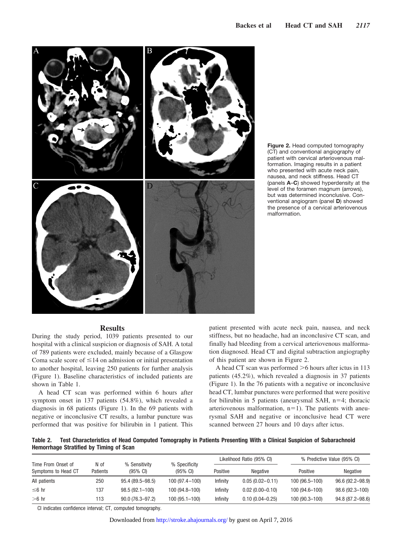



#### **Results**

During the study period, 1039 patients presented to our hospital with a clinical suspicion or diagnosis of SAH. A total of 789 patients were excluded, mainly because of a Glasgow Coma scale score of  $\leq 14$  on admission or initial presentation to another hospital, leaving 250 patients for further analysis (Figure 1). Baseline characteristics of included patients are shown in Table 1.

A head CT scan was performed within 6 hours after symptom onset in 137 patients (54.8%), which revealed a diagnosis in 68 patients (Figure 1). In the 69 patients with negative or inconclusive CT results, a lumbar puncture was performed that was positive for bilirubin in 1 patient. This

patient presented with acute neck pain, nausea, and neck stiffness, but no headache, had an inconclusive CT scan, and finally had bleeding from a cervical arteriovenous malformation diagnosed. Head CT and digital subtraction angiography of this patient are shown in Figure 2.

A head CT scan was performed  $>6$  hours after ictus in 113 patients (45.2%), which revealed a diagnosis in 37 patients (Figure 1). In the 76 patients with a negative or inconclusive head CT, lumbar punctures were performed that were positive for bilirubin in 5 patients (aneurysmal SAH, n=4; thoracic arteriovenous malformation,  $n=1$ ). The patients with aneurysmal SAH and negative or inconclusive head CT were scanned between 27 hours and 10 days after ictus.

**Table 2. Test Characteristics of Head Computed Tomography in Patients Presenting With a Clinical Suspicion of Subarachnoid Hemorrhage Stratified by Timing of Scan**

|                                           |                  |                                     |                                     | Likelihood Ratio (95% CI) |                     | % Predictive Value (95% CI) |                  |
|-------------------------------------------|------------------|-------------------------------------|-------------------------------------|---------------------------|---------------------|-----------------------------|------------------|
| Time From Onset of<br>Symptoms to Head CT | N of<br>Patients | % Sensitivity<br>$(95% \text{ Cl})$ | % Specificity<br>$(95% \text{ Cl})$ | Positive                  | <b>Negative</b>     | Positive                    | Negative         |
| All patients                              | 250              | $95.4(89.5 - 98.5)$                 | 100 (97.4-100)                      | Infinity                  | $0.05(0.02 - 0.11)$ | 100 (96.5-100)              | 96.6 (92.2–98.9) |
| ≤ 6 hr                                    | 137              | $98.5(92.1 - 100)$                  | 100 (94.8–100)                      | Infinity                  | $0.02(0.00 - 0.10)$ | 100 (94.6-100)              | 98.6 (92.3–100)  |
| $>6$ hr                                   | 113              | $90.0(76.3 - 97.2)$                 | 100 (95.1–100)                      | Infinity                  | $0.10(0.04 - 0.25)$ | 100 (90.3-100)              | 94.8 (87.2-98.6) |

CI indicates confidence interval; CT, computed tomography.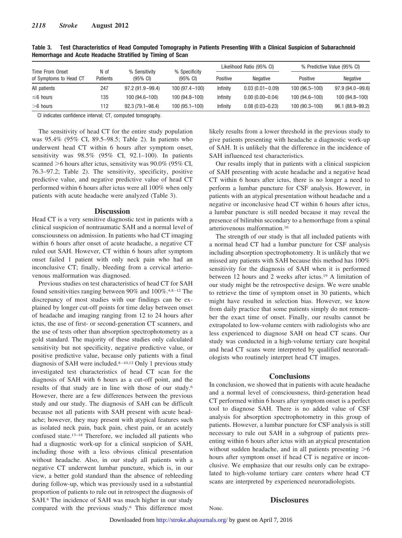|                                           |                         |                                      |                                     | Likelihood Ratio (95% CI) |                     | % Predictive Value (95% CI) |                  |
|-------------------------------------------|-------------------------|--------------------------------------|-------------------------------------|---------------------------|---------------------|-----------------------------|------------------|
| Time From Onset<br>of Symptoms to Head CT | N of<br><b>Patients</b> | % Sensitivity<br>$(95\% \text{ Cl})$ | % Specificity<br>$(95% \text{ Cl})$ | Positive                  | Negative            | Positive                    | Negative         |
| All patients                              | 247                     | $97.2(91.9 - 99.4)$                  | $100(97.4 - 100)$                   | Infinity                  | $0.03(0.01 - 0.09)$ | 100 (96.5-100)              | 97.9 (94.0-99.6) |
| $\leq 6$ hours                            | 135                     | 100 (94.6-100)                       | 100 (94.8-100)                      | Infinity                  | $0.00(0.00-0.04)$   | 100 (94.6-100)              | 100 (94.8-100)   |
| $>6$ hours                                | 112                     | $92.3(79.1 - 98.4)$                  | $100(95.1 - 100)$                   | Infinity                  | $0.08(0.03 - 0.23)$ | 100 (90.3-100)              | 96.1 (88.9-99.2) |

**Table 3. Test Characteristics of Head Computed Tomography in Patients Presenting With a Clinical Suspicion of Subarachnoid Hemorrhage and Acute Headache Stratified by Timing of Scan**

CI indicates confidence interval; CT, computed tomography.

The sensitivity of head CT for the entire study population was 95.4% (95% CI, 89.5–98.5; Table 2). In patients who underwent head CT within 6 hours after symptom onset, sensitivity was 98.5% (95% CI, 92.1–100). In patients scanned  $>6$  hours after ictus, sensitivity was  $90.0\%$  (95% CI, 76.3–97.2; Table 2). The sensitivity, specificity, positive predictive value, and negative predictive value of head CT performed within 6 hours after ictus were all 100% when only patients with acute headache were analyzed (Table 3).

#### **Discussion**

Head CT is a very sensitive diagnostic test in patients with a clinical suspicion of nontraumatic SAH and a normal level of consciousness on admission. In patients who had CT imaging within 6 hours after onset of acute headache, a negative CT ruled out SAH. However, CT within 6 hours after symptom onset failed 1 patient with only neck pain who had an inconclusive CT; finally, bleeding from a cervical arteriovenous malformation was diagnosed.

Previous studies on test characteristics of head CT for SAH found sensitivities ranging between 90% and 100%.<sup>4,8-12</sup> The discrepancy of most studies with our findings can be explained by longer cut-off points for time delay between onset of headache and imaging ranging from 12 to 24 hours after ictus, the use of first- or second-generation CT scanners, and the use of tests other than absorption spectrophotometry as a gold standard. The majority of these studies only calculated sensitivity but not specificity, negative predictive value, or positive predictive value, because only patients with a final diagnosis of SAH were included.<sup>8-10,12</sup> Only 1 previous study investigated test characteristics of head CT scan for the diagnosis of SAH with 6 hours as a cut-off point, and the results of that study are in line with those of our study.6 However, there are a few differences between the previous study and our study. The diagnosis of SAH can be difficult because not all patients with SAH present with acute headache; however, they may present with atypical features such as isolated neck pain, back pain, chest pain, or an acutely confused state.13–18 Therefore, we included all patients who had a diagnostic work-up for a clinical suspicion of SAH, including those with a less obvious clinical presentation without headache. Also, in our study all patients with a negative CT underwent lumbar puncture, which is, in our view, a better gold standard than the absence of rebleeding during follow-up, which was previously used in a substantial proportion of patients to rule out in retrospect the diagnosis of SAH.<sup>6</sup> The incidence of SAH was much higher in our study compared with the previous study.6 This difference most

likely results from a lower threshold in the previous study to give patients presenting with headache a diagnostic work-up of SAH. It is unlikely that the difference in the incidence of SAH influenced test characteristics.

Our results imply that in patients with a clinical suspicion of SAH presenting with acute headache and a negative head CT within 6 hours after ictus, there is no longer a need to perform a lumbar puncture for CSF analysis. However, in patients with an atypical presentation without headache and a negative or inconclusive head CT within 6 hours after ictus, a lumbar puncture is still needed because it may reveal the presence of bilirubin secondary to a hemorrhage from a spinal arteriovenous malformation.16

The strength of our study is that all included patients with a normal head CT had a lumbar puncture for CSF analysis including absorption spectrophotometry. It is unlikely that we missed any patients with SAH because this method has 100% sensitivity for the diagnosis of SAH when it is performed between 12 hours and 2 weeks after ictus.19 A limitation of our study might be the retrospective design. We were unable to retrieve the time of symptom onset in 30 patients, which might have resulted in selection bias. However, we know from daily practice that some patients simply do not remember the exact time of onset. Finally, our results cannot be extrapolated to low-volume centers with radiologists who are less experienced to diagnose SAH on head CT scans. Our study was conducted in a high-volume tertiary care hospital and head CT scans were interpreted by qualified neuroradiologists who routinely interpret head CT images.

### **Conclusions**

In conclusion, we showed that in patients with acute headache and a normal level of consciousness, third-generation head CT performed within 6 hours after symptom onset is a perfect tool to diagnose SAH. There is no added value of CSF analysis for absorption spectrophotometry in this group of patients. However, a lumbar puncture for CSF analysis is still necessary to rule out SAH in a subgroup of patients presenting within 6 hours after ictus with an atypical presentation without sudden headache, and in all patients presenting  $>6$ hours after symptom onset if head CT is negative or inconclusive. We emphasize that our results only can be extrapolated to high-volume tertiary care centers where head CT scans are interpreted by experienced neuroradiologists.

# **Disclosures**

None.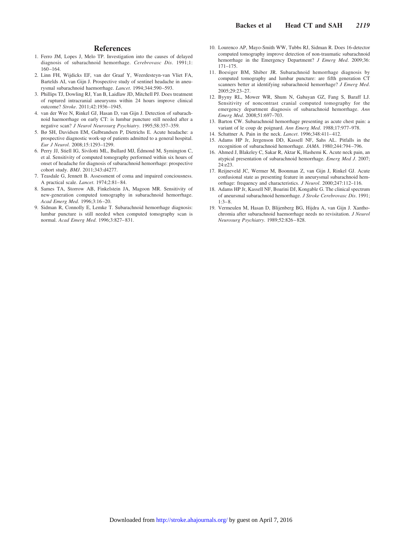# **References**

- 1. Ferro JM, Lopes J, Melo TP. Investigation into the causes of delayed diagnosis of subarachnoid hemorrhage. *Cerebrovasc Dis*. 1991;1: 160 –164.
- 2. Linn FH, Wijdicks EF, van der Graaf Y, Weerdesteyn-van Vliet FA, Bartelds AI, van Gijn J. Prospective study of sentinel headache in aneurysmal subarachnoid haemorrhage. *Lancet*. 1994;344:590 –593.
- 3. Phillips TJ, Dowling RJ, Yan B, Laidlaw JD, Mitchell PJ. Does treatment of ruptured intracranial aneurysms within 24 hours improve clinical outcome? *Stroke*. 2011;42:1936 –1945.
- 4. van der Wee N, Rinkel GJ, Hasan D, van Gijn J. Detection of subarachnoid haemorrhage on early CT: is lumbar puncture still needed after a negative scan? *J Neurol Neurosurg Psychiatry*. 1995;58:357–359.
- 5. Bø SH, Davidsen EM, Gulbrandsen P, Dietrichs E. Acute headache: a prospective diagnostic work-up of patients admitted to a general hospital. *Eur J Neurol*. 2008;15:1293–1299.
- 6. Perry JJ, Stiell IG, Sivilotti ML, Bullard MJ, Édmond M, Symington C, et al. Sensitivity of computed tomography performed within six hours of onset of headache for diagnosis of subarachnoid hemorrhage: prospective cohort study. *BMJ*. 2011;343:d4277.
- 7. Teasdale G, Jennett B. Assessment of coma and impaired conciousness. A practical scale. *Lancet*. 1974;2:81– 84.
- 8. Sames TA, Storrow AB, Finkelstein JA, Magoon MR. Sensitivity of new-generation computed tomography in subarachnoid hemorrhage. *Acad Emerg Med*. 1996;3:16 –20.
- 9. Sidman R, Connolly E, Lemke T. Subarachnoid hemorrhage diagnosis: lumbar puncture is still needed when computed tomography scan is normal. *Acad Emerg Med*. 1996;3:827– 831.
- 10. Lourenco AP, Mayo-Smith WW, Tubbs RJ, Sidman R. Does 16-detector computed tomography improve detection of non-traumatic subarachnoid hemorrhage in the Emergency Department? *J Emerg Med*. 2009;36: 171–175.
- 11. Boesiger BM, Shiber JR. Subarachnoid hemorrhage diagnosis by computed tomography and lumbar puncture: are fifth generation CT scanners better at identifying subarachnoid hemorrhage? *J Emerg Med*. 2005;29:23–27.
- 12. Byyny RL, Mower WR, Shum N, Gabayan GZ, Fang S, Baraff LJ. Sensitivity of noncontrast cranial computed tomography for the emergency department diagnosis of subarachnoid hemorrhage. *Ann Emerg Med*. 2008;51:697–703.
- 13. Barton CW. Subarachnoid hemorrhage presenting as acute chest pain: a variant of le coup de poignard. *Ann Emerg Med*. 1988;17:977–978.
- 14. Schattner A. Pain in the neck. *Lancet*. 1996;348:411– 412.
- 15. Adams HP Jr, Jergenson DD, Kassell NF, Sahs AL. Pitfalls in the recognition of subarachnoid hemorrhage. *JAMA*. 1980;244:794 –796.
- 16. Ahmed J, Blakeley C, Sakar R, Aktar K, Hashemi K. Acute neck pain, an atypical presentation of subarachnoid hemorrhage. *Emerg Med J*. 2007; 24:e23.
- 17. Reijneveld JC, Wermer M, Boonman Z, van Gijn J, Rinkel GJ. Acute confusional state as presenting feature in aneurysmal subarachnoid hemorrhage: frequency and characteristics. *J Neurol*. 2000;247:112–116.
- 18. Adams HP Jr, Kassell NF, Boarini DJ, Kongable G. The clinical spectrum of aneursmal subarachnoid hemorrhage. *J Stroke Cerebrovasc Dis*. 1991;  $1.3 - 8.$
- 19. Vermeulen M, Hasan D, Blijenberg BG, Hijdra A, van Gijn J. Xanthochromia after subarachnoid haemorrhage needs no revisitation. *J Neurol Neurosurg Psychiatry*. 1989;52:826 – 828.